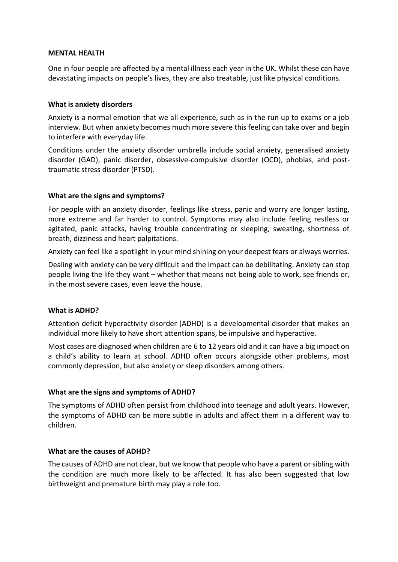#### **MENTAL HEALTH**

One in four people are affected by a mental illness each year in the UK. Whilst these can have devastating impacts on people's lives, they are also treatable, just like physical conditions.

#### **What is anxiety disorders**

Anxiety is a normal emotion that we all experience, such as in the run up to exams or a job interview. But when anxiety becomes much more severe this feeling can take over and begin to interfere with everyday life.

Conditions under the anxiety disorder umbrella include social anxiety, generalised anxiety disorder (GAD), panic disorder, obsessive-compulsive disorder (OCD), phobias, and posttraumatic stress disorder (PTSD).

## **What are the signs and symptoms?**

For people with an anxiety disorder, feelings like stress, panic and worry are longer lasting, more extreme and far harder to control. Symptoms may also include feeling restless or agitated, panic attacks, having trouble concentrating or sleeping, sweating, shortness of breath, dizziness and heart palpitations.

Anxiety can feel like a spotlight in your mind shining on your deepest fears or always worries.

Dealing with anxiety can be very difficult and the impact can be debilitating. Anxiety can stop people living the life they want – whether that means not being able to work, see friends or, in the most severe cases, even leave the house.

## **What is ADHD?**

Attention deficit hyperactivity disorder (ADHD) is a developmental disorder that makes an individual more likely to have short attention spans, be impulsive and hyperactive.

Most cases are diagnosed when children are 6 to 12 years old and it can have a big impact on a child's ability to learn at school. ADHD often occurs alongside other problems, most commonly depression, but also anxiety or sleep disorders among others.

## **What are the signs and symptoms of ADHD?**

The symptoms of ADHD often persist from childhood into teenage and adult years. However, the symptoms of ADHD can be more subtle in adults and affect them in a different way to children.

#### **What are the causes of ADHD?**

The causes of ADHD are not clear, but we know that people who have a parent or sibling with the condition are much more likely to be affected. It has also been suggested that low birthweight and premature birth may play a role too.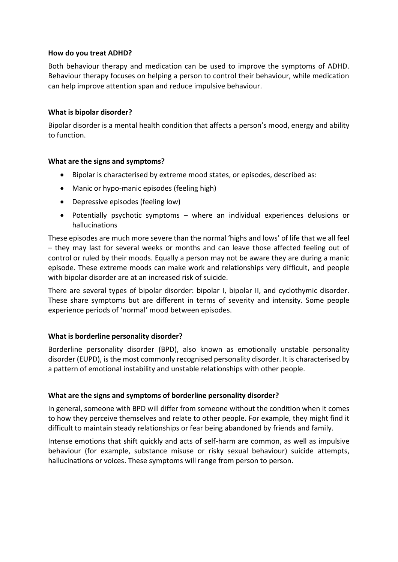## **How do you treat ADHD?**

Both behaviour therapy and medication can be used to improve the symptoms of ADHD. Behaviour therapy focuses on helping a person to control their behaviour, while medication can help improve attention span and reduce impulsive behaviour.

## **What is bipolar disorder?**

Bipolar disorder is a mental health condition that affects a person's mood, energy and ability to function.

## **What are the signs and symptoms?**

- Bipolar is characterised by extreme mood states, or episodes, described as:
- Manic or hypo-manic episodes (feeling high)
- Depressive episodes (feeling low)
- Potentially psychotic symptoms where an individual experiences delusions or hallucinations

These episodes are much more severe than the normal 'highs and lows' of life that we all feel – they may last for several weeks or months and can leave those affected feeling out of control or ruled by their moods. Equally a person may not be aware they are during a manic episode. These extreme moods can make work and relationships very difficult, and people with bipolar disorder are at an increased risk of suicide.

There are several types of bipolar disorder: bipolar I, bipolar II, and cyclothymic disorder. These share symptoms but are different in terms of severity and intensity. Some people experience periods of 'normal' mood between episodes.

# **What is borderline personality disorder?**

Borderline personality disorder (BPD), also known as emotionally unstable personality disorder (EUPD), is the most commonly recognised personality disorder. It is characterised by a pattern of emotional instability and unstable relationships with other people.

# **What are the signs and symptoms of borderline personality disorder?**

In general, someone with BPD will differ from someone without the condition when it comes to how they perceive themselves and relate to other people. For example, they might find it difficult to maintain steady relationships or fear being abandoned by friends and family.

Intense emotions that shift quickly and acts of self-harm are common, as well as impulsive behaviour (for example, substance misuse or risky sexual behaviour) suicide attempts, hallucinations or voices. These symptoms will range from person to person.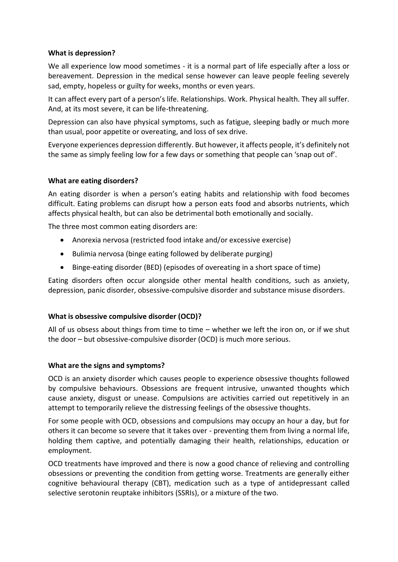## **What is depression?**

We all experience low mood sometimes - it is a normal part of life especially after a loss or bereavement. Depression in the medical sense however can leave people feeling severely sad, empty, hopeless or guilty for weeks, months or even years.

It can affect every part of a person's life. Relationships. Work. Physical health. They all suffer. And, at its most severe, it can be life-threatening.

Depression can also have physical symptoms, such as fatigue, sleeping badly or much more than usual, poor appetite or overeating, and loss of sex drive.

Everyone experiences depression differently. But however, it affects people, it's definitely not the same as simply feeling low for a few days or something that people can 'snap out of'.

## **What are eating disorders?**

An eating disorder is when a person's eating habits and relationship with food becomes difficult. Eating problems can disrupt how a person eats food and absorbs nutrients, which affects physical health, but can also be detrimental both emotionally and socially.

The three most common eating disorders are:

- Anorexia nervosa (restricted food intake and/or excessive exercise)
- Bulimia nervosa (binge eating followed by deliberate purging)
- Binge-eating disorder (BED) (episodes of overeating in a short space of time)

Eating disorders often occur alongside other mental health conditions, such as anxiety, depression, panic disorder, obsessive-compulsive disorder and substance misuse disorders.

## **What is obsessive compulsive disorder (OCD)?**

All of us obsess about things from time to time – whether we left the iron on, or if we shut the door – but obsessive-compulsive disorder (OCD) is much more serious.

## **What are the signs and symptoms?**

OCD is an anxiety disorder which causes people to experience obsessive thoughts followed by compulsive behaviours. Obsessions are frequent intrusive, unwanted thoughts which cause anxiety, disgust or unease. Compulsions are activities carried out repetitively in an attempt to temporarily relieve the distressing feelings of the obsessive thoughts.

For some people with OCD, obsessions and compulsions may occupy an hour a day, but for others it can become so severe that it takes over - preventing them from living a normal life, holding them captive, and potentially damaging their health, relationships, education or employment.

OCD treatments have improved and there is now a good chance of relieving and controlling obsessions or preventing the condition from getting worse. Treatments are generally either cognitive behavioural therapy (CBT), medication such as a type of antidepressant called selective serotonin reuptake inhibitors (SSRIs), or a mixture of the two.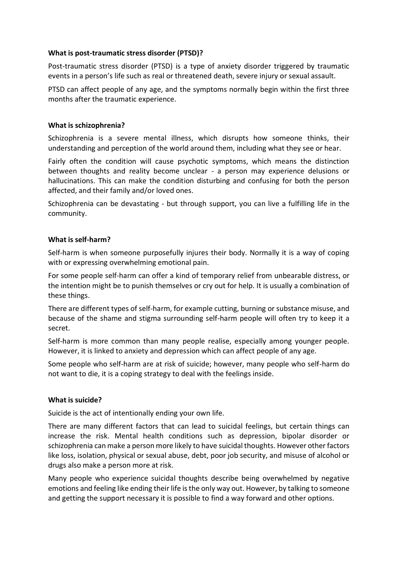## **What is post-traumatic stress disorder (PTSD)?**

Post-traumatic stress disorder (PTSD) is a type of anxiety disorder triggered by traumatic events in a person's life such as real or threatened death, severe injury or sexual assault.

PTSD can affect people of any age, and the symptoms normally begin within the first three months after the traumatic experience.

# **What is schizophrenia?**

Schizophrenia is a severe mental illness, which disrupts how someone thinks, their understanding and perception of the world around them, including what they see or hear.

Fairly often the condition will cause psychotic symptoms, which means the distinction between thoughts and reality become unclear - a person may experience delusions or hallucinations. This can make the condition disturbing and confusing for both the person affected, and their family and/or loved ones.

Schizophrenia can be devastating - but through support, you can live a fulfilling life in the community.

## **What is self-harm?**

Self-harm is when someone purposefully injures their body. Normally it is a way of coping with or expressing overwhelming emotional pain.

For some people self-harm can offer a kind of temporary relief from unbearable distress, or the intention might be to punish themselves or cry out for help. It is usually a combination of these things.

There are different types of self-harm, for example cutting, burning or substance misuse, and because of the shame and stigma surrounding self-harm people will often try to keep it a secret.

Self-harm is more common than many people realise, especially among younger people. However, it is linked to anxiety and depression which can affect people of any age.

Some people who self-harm are at risk of suicide; however, many people who self-harm do not want to die, it is a coping strategy to deal with the feelings inside.

## **What is suicide?**

Suicide is the act of intentionally ending your own life.

There are many different factors that can lead to suicidal feelings, but certain things can increase the risk. Mental health conditions such as depression, bipolar disorder or schizophrenia can make a person more likely to have suicidal thoughts. However other factors like loss, isolation, physical or sexual abuse, debt, poor job security, and misuse of alcohol or drugs also make a person more at risk.

Many people who experience suicidal thoughts describe being overwhelmed by negative emotions and feeling like ending their life is the only way out. However, by talking to someone and getting the support necessary it is possible to find a way forward and other options.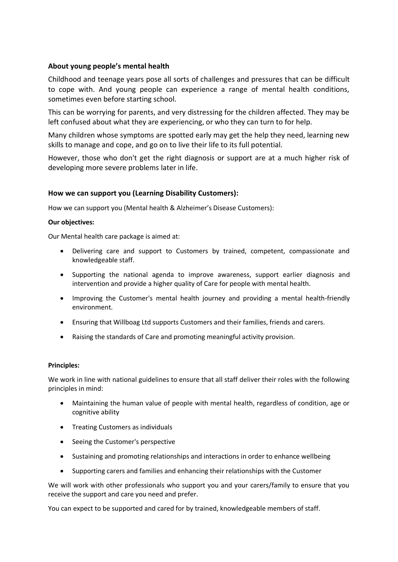## **About young people's mental health**

Childhood and teenage years pose all sorts of challenges and pressures that can be difficult to cope with. And young people can experience a range of mental health conditions, sometimes even before starting school.

This can be worrying for parents, and very distressing for the children affected. They may be left confused about what they are experiencing, or who they can turn to for help.

Many children whose symptoms are spotted early may get the help they need, learning new skills to manage and cope, and go on to live their life to its full potential.

However, those who don't get the right diagnosis or support are at a much higher risk of developing more severe problems later in life.

## **How we can support you (Learning Disability Customers):**

How we can support you (Mental health & Alzheimer's Disease Customers):

#### **Our objectives:**

Our Mental health care package is aimed at:

- Delivering care and support to Customers by trained, competent, compassionate and knowledgeable staff.
- Supporting the national agenda to improve awareness, support earlier diagnosis and intervention and provide a higher quality of Care for people with mental health.
- Improving the Customer's mental health journey and providing a mental health-friendly environment.
- Ensuring that Willboag Ltd supports Customers and their families, friends and carers.
- Raising the standards of Care and promoting meaningful activity provision.

#### **Principles:**

We work in line with national guidelines to ensure that all staff deliver their roles with the following principles in mind:

- Maintaining the human value of people with mental health, regardless of condition, age or cognitive ability
- Treating Customers as individuals
- Seeing the Customer's perspective
- Sustaining and promoting relationships and interactions in order to enhance wellbeing
- Supporting carers and families and enhancing their relationships with the Customer

We will work with other professionals who support you and your carers/family to ensure that you receive the support and care you need and prefer.

You can expect to be supported and cared for by trained, knowledgeable members of staff.